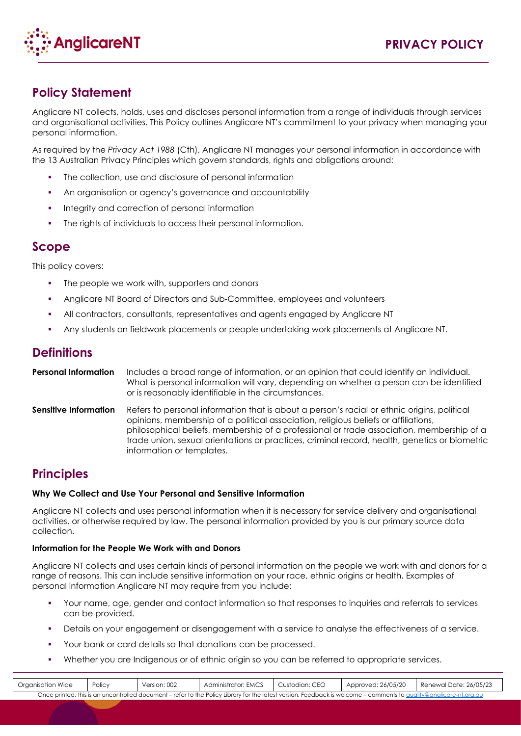

# **Policy Statement**

Anglicare NT collects, holds, uses and discloses personal information from a range of individuals through services and organisational activities. This Policy outlines Anglicare NT's commitment to your privacy when managing your personal information.

As required by the *Privacy Act 1988* (Cth), Anglicare NT manages your personal information in accordance with the 13 Australian Privacy Principles which govern standards, rights and obligations around:

- The collection, use and disclosure of personal information
- An organisation or agency's governance and accountability
- **Integrity and correction of personal information**
- The rights of individuals to access their personal information.

## **Scope**

This policy covers:

- The people we work with, supporters and donors
- Anglicare NT Board of Directors and Sub-Committee, employees and volunteers
- All contractors, consultants, representatives and agents engaged by Anglicare NT
- Any students on fieldwork placements or people undertaking work placements at Anglicare NT.

## **Definitions**

**Personal Information** Includes a broad range of information, or an opinion that could identify an individual. What is personal information will vary, depending on whether a person can be identified or is reasonably identifiable in the circumstances.

**Sensitive Information** Refers to personal information that is about a person's racial or ethnic origins, political opinions, membership of a political association, religious beliefs or affiliations, philosophical beliefs, membership of a professional or trade association, membership of a trade union, sexual orientations or practices, criminal record, health, genetics or biometric information or templates.

# **Principles**

## **Why We Collect and Use Your Personal and Sensitive Information**

Anglicare NT collects and uses personal information when it is necessary for service delivery and organisational activities, or otherwise required by law. The personal information provided by you is our primary source data collection.

## **Information for the People We Work with and Donors**

Anglicare NT collects and uses certain kinds of personal information on the people we work with and donors for a range of reasons. This can include sensitive information on your race, ethnic origins or health. Examples of personal information Anglicare NT may require from you include:

- Your name, age, gender and contact information so that responses to inquiries and referrals to services can be provided.
- Details on your engagement or disengagement with a service to analyse the effectiveness of a service.
- Your bank or card details so that donations can be processed.
- Whether you are Indigenous or of ethnic origin so you can be referred to appropriate services.

| Organisation Wide                                                                                                                                                  | Policy | Version: 002 | Administrator: EMCS | Custodian: CEO | Approved: 26/05/20 | Renewal Date: 26/05/23 |
|--------------------------------------------------------------------------------------------------------------------------------------------------------------------|--------|--------------|---------------------|----------------|--------------------|------------------------|
| Once printed, this is an uncontrolled document – refer to the Policy Library for the latest version. Feedback is welcome – comments to quality@anglicare-nt.org.au |        |              |                     |                |                    |                        |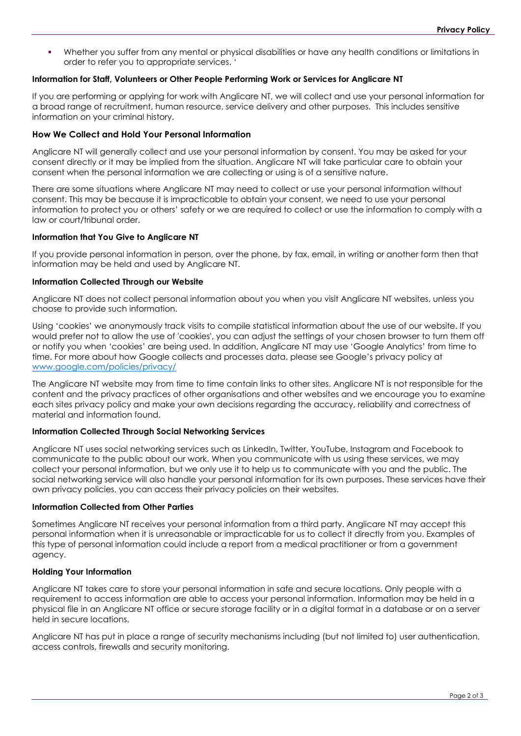Whether you suffer from any mental or physical disabilities or have any health conditions or limitations in order to refer you to appropriate services. '

#### **Information for Staff, Volunteers or Other People Performing Work or Services for Anglicare NT**

If you are performing or applying for work with Anglicare NT, we will collect and use your personal information for a broad range of recruitment, human resource, service delivery and other purposes. This includes sensitive information on your criminal history.

#### **How We Collect and Hold Your Personal Information**

Anglicare NT will generally collect and use your personal information by consent. You may be asked for your consent directly or it may be implied from the situation. Anglicare NT will take particular care to obtain your consent when the personal information we are collecting or using is of a sensitive nature.

There are some situations where Anglicare NT may need to collect or use your personal information without consent. This may be because it is impracticable to obtain your consent, we need to use your personal information to protect you or others' safety or we are required to collect or use the information to comply with a law or court/tribunal order.

#### **Information that You Give to Anglicare NT**

If you provide personal information in person, over the phone, by fax, email, in writing or another form then that information may be held and used by Anglicare NT.

#### **Information Collected Through our Website**

Anglicare NT does not collect personal information about you when you visit Anglicare NT websites, unless you choose to provide such information.

Using 'cookies' we anonymously track visits to compile statistical information about the use of our website. If you would prefer not to allow the use of 'cookies', you can adjust the settings of your chosen browser to turn them off or notify you when 'cookies' are being used. In addition, Anglicare NT may use 'Google Analytics' from time to time. For more about how Google collects and processes data, please see Google's privacy policy at [www.google.com/policies/privacy/](http://www.google.com/policies/privacy/)

The Anglicare NT website may from time to time contain links to other sites. Anglicare NT is not responsible for the content and the privacy practices of other organisations and other websites and we encourage you to examine each sites privacy policy and make your own decisions regarding the accuracy, reliability and correctness of material and information found.

#### **Information Collected Through Social Networking Services**

Anglicare NT uses social networking services such as LinkedIn, Twitter, YouTube, Instagram and Facebook to communicate to the public about our work. When you communicate with us using these services, we may collect your personal information, but we only use it to help us to communicate with you and the public. The social networking service will also handle your personal information for its own purposes. These services have their own privacy policies, you can access their privacy policies on their websites.

#### **Information Collected from Other Parties**

Sometimes Anglicare NT receives your personal information from a third party. Anglicare NT may accept this personal information when it is unreasonable or impracticable for us to collect it directly from you. Examples of this type of personal information could include a report from a medical practitioner or from a government agency.

### **Holding Your Information**

Anglicare NT takes care to store your personal information in safe and secure locations. Only people with a requirement to access information are able to access your personal information. Information may be held in a physical file in an Anglicare NT office or secure storage facility or in a digital format in a database or on a server held in secure locations.

Anglicare NT has put in place a range of security mechanisms including (but not limited to) user authentication, access controls, firewalls and security monitoring.